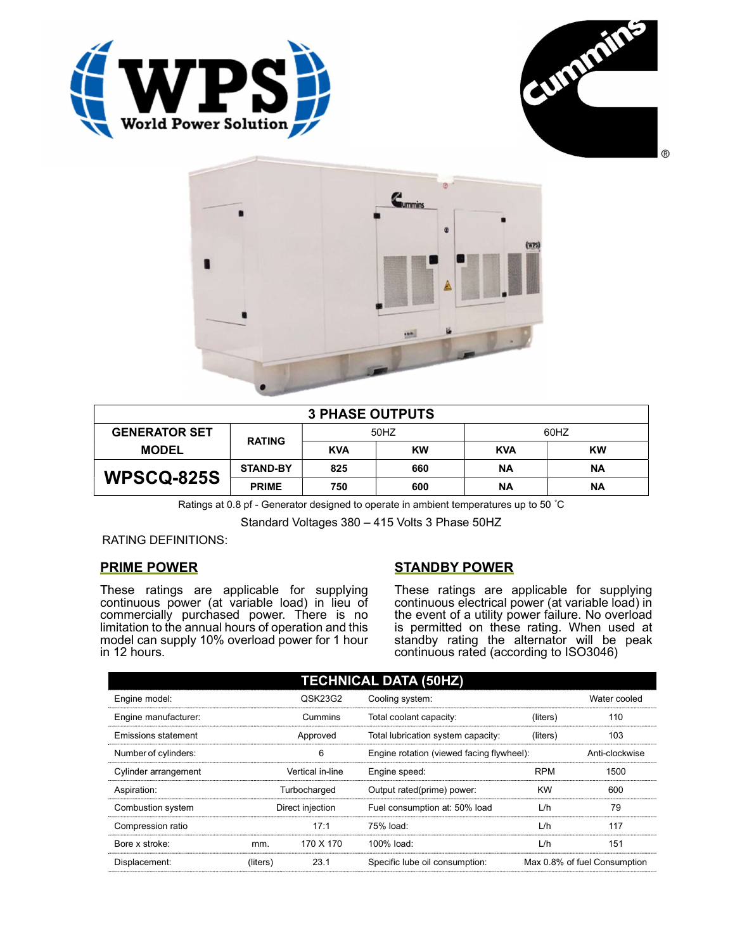





| <b>3 PHASE OUTPUTS</b> |                 |            |     |            |           |  |
|------------------------|-----------------|------------|-----|------------|-----------|--|
| <b>GENERATOR SET</b>   | <b>RATING</b>   | 50HZ       |     | 60HZ       |           |  |
| <b>MODEL</b>           |                 | <b>KVA</b> | KW  | <b>KVA</b> | <b>KW</b> |  |
| <b>WPSCQ-825S</b>      | <b>STAND-BY</b> | 825        | 660 | ΝA         | ΝA        |  |
|                        | <b>PRIME</b>    | 750        | 600 | ΝA         | ΝA        |  |

Ratings at 0.8 pf - Generator designed to operate in ambient temperatures up to 50 °C

Standard Voltages 380 – 415 Volts 3 Phase 50HZ

RATING DEFINITIONS:

## PRIME POWER

These ratings are applicable for supplying continuous power (at variable load) in lieu of commercially purchased power. There is no limitation to the annual hours of operation and this model can supply 10% overload power for 1 hour in 12 hours.

## STANDBY POWER

These ratings are applicable for supplying continuous electrical power (at variable load) in the event of a utility power failure. No overload is permitted on these rating. When used at standby rating the alternator will be peak continuous rated (according to ISO3046)

| <b>TECHNICAL DATA (50HZ)</b> |                  |           |                                           |            |                              |  |
|------------------------------|------------------|-----------|-------------------------------------------|------------|------------------------------|--|
| Engine model:                |                  | QSK23G2   | Cooling system:                           |            | Water cooled                 |  |
| Engine manufacturer:         | Cummins          |           | Total coolant capacity:                   | (liters)   | 110                          |  |
| Emissions statement          | Approved         |           | Total lubrication system capacity:        | (liters)   | 103                          |  |
| Number of cylinders:         | 6                |           | Engine rotation (viewed facing flywheel): |            | Anti-clockwise               |  |
| Cylinder arrangement         | Vertical in-line |           | Engine speed:                             | <b>RPM</b> | 1500                         |  |
| Aspiration:                  | Turbocharged     |           | Output rated(prime) power:                | <b>KW</b>  | 600                          |  |
| Combustion system            | Direct injection |           | Fuel consumption at: 50% load             | L/h        | 79                           |  |
| Compression ratio            |                  | 17:1      | 75% load:                                 | L/h        | 117                          |  |
| Bore x stroke:               | mm.              | 170 X 170 | 100% load:                                | L/h        | 151                          |  |
| Displacement:                | (liters)         | 23.1      | Specific lube oil consumption:            |            | Max 0.8% of fuel Consumption |  |